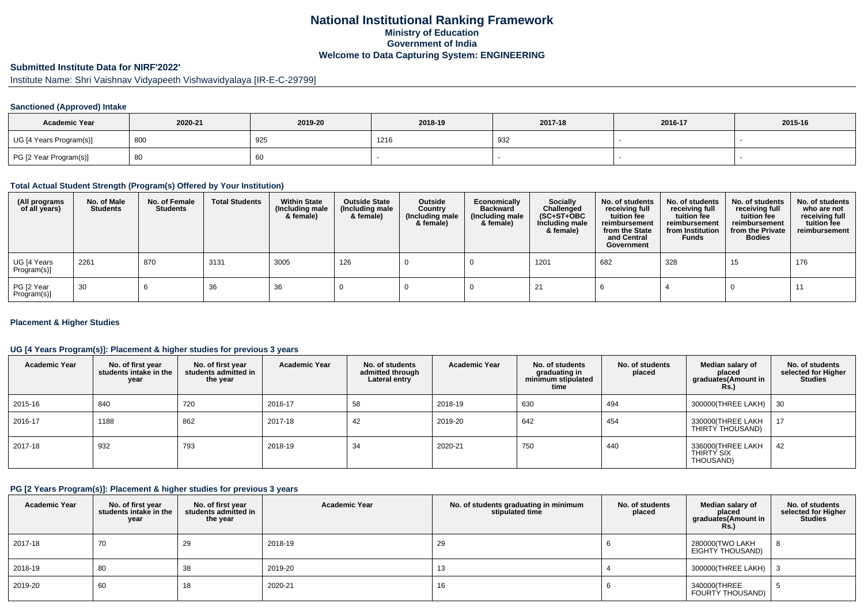## **National Institutional Ranking FrameworkMinistry of Education Government of IndiaWelcome to Data Capturing System: ENGINEERING**

# **Submitted Institute Data for NIRF'2022'**

Institute Name: Shri Vaishnav Vidyapeeth Vishwavidyalaya [IR-E-C-29799]

### **Sanctioned (Approved) Intake**

| <b>Academic Year</b>    | 2020-21 | 2019-20 | 2018-19 | 2017-18 | 2016-17 | 2015-16 |
|-------------------------|---------|---------|---------|---------|---------|---------|
| UG [4 Years Program(s)] | 800     | 925     | 1216    | 932     |         |         |
| PG [2 Year Program(s)]  | ൦ഄ      | 60      |         |         |         |         |

#### **Total Actual Student Strength (Program(s) Offered by Your Institution)**

| (All programs<br>of all years) | No. of Male<br><b>Students</b> | No. of Female<br><b>Students</b> | <b>Total Students</b> | <b>Within State</b><br>(Including male<br>& female) | <b>Outside State</b><br>(Including male<br>& female) | Outside<br>Country<br>(Including male<br>& female) | Economically<br><b>Backward</b><br>(Including male<br>& female) | <b>Socially</b><br>Challenged<br>$(SC+ST+OBC)$<br>Including male<br>& female) | No. of students<br>receiving full<br>tuition fee<br>reimbursement<br>from the State<br>and Central<br>Government | No. of students<br>receiving full<br>tuition fee<br>reimbursement<br>from Institution<br><b>Funds</b> | No. of students<br>receiving full<br>tuition fee<br>reimbursement<br>from the Private<br><b>Bodies</b> | No. of students<br>who are not<br>receiving full<br>tuition fee<br>reimbursement |
|--------------------------------|--------------------------------|----------------------------------|-----------------------|-----------------------------------------------------|------------------------------------------------------|----------------------------------------------------|-----------------------------------------------------------------|-------------------------------------------------------------------------------|------------------------------------------------------------------------------------------------------------------|-------------------------------------------------------------------------------------------------------|--------------------------------------------------------------------------------------------------------|----------------------------------------------------------------------------------|
| UG [4 Years<br>Program(s)]     | 2261                           | 870                              | 3131                  | 3005                                                | 126                                                  |                                                    |                                                                 | 1201                                                                          | 682                                                                                                              | 328                                                                                                   | 15                                                                                                     | 176                                                                              |
| PG [2 Year<br>Program(s)]      | 30                             |                                  | 36                    | 36                                                  |                                                      |                                                    |                                                                 | -21                                                                           |                                                                                                                  |                                                                                                       |                                                                                                        |                                                                                  |

#### **Placement & Higher Studies**

### **UG [4 Years Program(s)]: Placement & higher studies for previous 3 years**

| <b>Academic Year</b> | No. of first year<br>students intake in the<br>year | No. of first vear<br>students admitted in<br>the year | <b>Academic Year</b> | No. of students<br>admitted through<br>Lateral entry | <b>Academic Year</b> | No. of students<br>graduating in<br>minimum stipulated<br>time | No. of students<br>placed | Median salary of<br>placed<br>graduates(Amount in<br>Rs.) | No. of students<br>selected for Higher<br><b>Studies</b> |
|----------------------|-----------------------------------------------------|-------------------------------------------------------|----------------------|------------------------------------------------------|----------------------|----------------------------------------------------------------|---------------------------|-----------------------------------------------------------|----------------------------------------------------------|
| 2015-16              | 840                                                 | 720                                                   | 2016-17              | 58                                                   | 2018-19              | 630                                                            | 494                       | 300000(THREE LAKH)                                        | 30                                                       |
| 2016-17              | 1188                                                | 862                                                   | 2017-18              | 42                                                   | 2019-20              | 642                                                            | 454                       | 330000(THREE LAKH<br>THIRTY THOUSAND)                     | 17                                                       |
| 2017-18              | 932                                                 | 793                                                   | 2018-19              | 34                                                   | 2020-21              | 750                                                            | 440                       | 336000 (THREE LAKH<br>THIRTY SIX<br>THOUSAND)             | 42                                                       |

#### **PG [2 Years Program(s)]: Placement & higher studies for previous 3 years**

| <b>Academic Year</b> | No. of first year<br>students intake in the<br>year | No. of first year<br>students admitted in<br>the year | <b>Academic Year</b> | No. of students graduating in minimum<br>stipulated time | No. of students<br>placed | Median salary of<br>placed<br>graduates(Amount in<br>Rs. | No. of students<br>selected for Higher<br><b>Studies</b> |
|----------------------|-----------------------------------------------------|-------------------------------------------------------|----------------------|----------------------------------------------------------|---------------------------|----------------------------------------------------------|----------------------------------------------------------|
| 2017-18              | 70                                                  | 29                                                    | 2018-19              | 29                                                       |                           | 280000(TWO LAKH<br>EIGHTY THOUSAND)                      | 8                                                        |
| 2018-19              | 80                                                  | 38                                                    | 2019-20              | 13                                                       |                           | 300000(THREE LAKH)                                       |                                                          |
| 2019-20              | 60                                                  | 10                                                    | 2020-21              | 16                                                       |                           | 340000(THREE<br>FOURTY THOUSAND)                         |                                                          |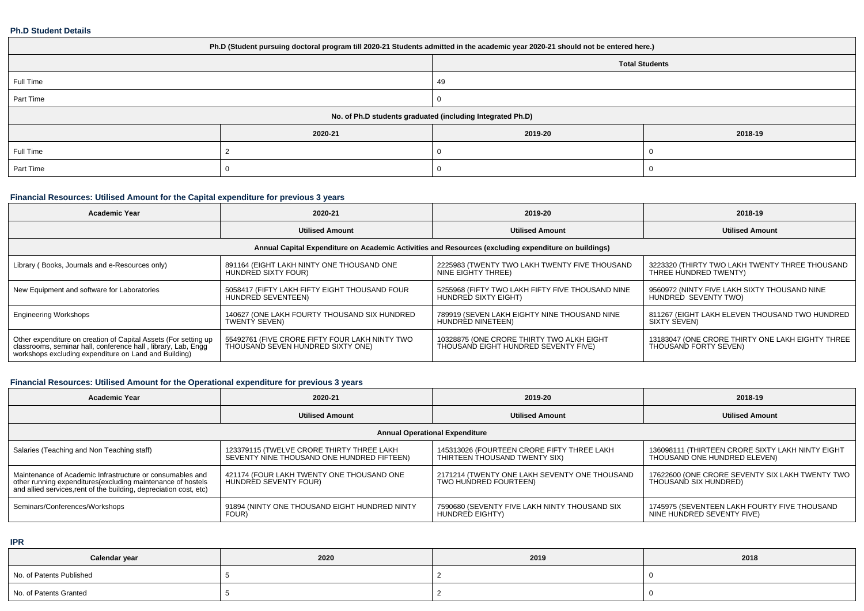#### **Ph.D Student Details**

| Ph.D (Student pursuing doctoral program till 2020-21 Students admitted in the academic year 2020-21 should not be entered here.) |         |                                                            |         |  |  |  |  |
|----------------------------------------------------------------------------------------------------------------------------------|---------|------------------------------------------------------------|---------|--|--|--|--|
| <b>Total Students</b>                                                                                                            |         |                                                            |         |  |  |  |  |
| Full Time                                                                                                                        |         | 49                                                         |         |  |  |  |  |
| Part Time                                                                                                                        |         |                                                            |         |  |  |  |  |
|                                                                                                                                  |         | No. of Ph.D students graduated (including Integrated Ph.D) |         |  |  |  |  |
|                                                                                                                                  | 2020-21 | 2019-20                                                    | 2018-19 |  |  |  |  |
| Full Time                                                                                                                        |         |                                                            |         |  |  |  |  |
| Part Time                                                                                                                        |         |                                                            |         |  |  |  |  |

### **Financial Resources: Utilised Amount for the Capital expenditure for previous 3 years**

| <b>Academic Year</b>                                                                                                                                                                      | 2020-21                                                                                              | 2019-20                                                                           | 2018-19                                                                   |  |  |  |  |  |  |
|-------------------------------------------------------------------------------------------------------------------------------------------------------------------------------------------|------------------------------------------------------------------------------------------------------|-----------------------------------------------------------------------------------|---------------------------------------------------------------------------|--|--|--|--|--|--|
|                                                                                                                                                                                           | <b>Utilised Amount</b>                                                                               | <b>Utilised Amount</b>                                                            | <b>Utilised Amount</b>                                                    |  |  |  |  |  |  |
|                                                                                                                                                                                           | Annual Capital Expenditure on Academic Activities and Resources (excluding expenditure on buildings) |                                                                                   |                                                                           |  |  |  |  |  |  |
| Library (Books, Journals and e-Resources only)                                                                                                                                            | 891164 (EIGHT LAKH NINTY ONE THOUSAND ONE<br>HUNDRED SIXTY FOUR)                                     | 2225983 (TWENTY TWO LAKH TWENTY FIVE THOUSAND<br>NINE EIGHTY THREE)               | 3223320 (THIRTY TWO LAKH TWENTY THREE THOUSAND<br>THREE HUNDRED TWENTY)   |  |  |  |  |  |  |
| New Equipment and software for Laboratories                                                                                                                                               | 5058417 (FIFTY LAKH FIFTY EIGHT THOUSAND FOUR<br>HUNDRED SEVENTEEN)                                  | 5255968 (FIFTY TWO LAKH FIFTY FIVE THOUSAND NINE<br>HUNDRED SIXTY EIGHT)          | 9560972 (NINTY FIVE LAKH SIXTY THOUSAND NINE<br>HUNDRED SEVENTY TWO)      |  |  |  |  |  |  |
| <b>Engineering Workshops</b>                                                                                                                                                              | 140627 (ONE LAKH FOURTY THOUSAND SIX HUNDRED<br>TWENTY SEVEN)                                        | 789919 (SEVEN LAKH EIGHTY NINE THOUSAND NINE<br>HUNDRED NINETEEN)                 | 811267 (EIGHT LAKH ELEVEN THOUSAND TWO HUNDRED<br>SIXTY SEVEN)            |  |  |  |  |  |  |
| Other expenditure on creation of Capital Assets (For setting up<br>classrooms, seminar hall, conference hall, library, Lab, Engq<br>workshops excluding expenditure on Land and Building) | 55492761 (FIVE CRORE FIFTY FOUR LAKH NINTY TWO<br>THOUSAND SEVEN HUNDRED SIXTY ONE)                  | 10328875 (ONE CRORE THIRTY TWO ALKH EIGHT<br>THOUSAND EIGHT HUNDRED SEVENTY FIVE) | 13183047 (ONE CRORE THIRTY ONE LAKH EIGHTY THREE<br>THOUSAND FORTY SEVEN) |  |  |  |  |  |  |

### **Financial Resources: Utilised Amount for the Operational expenditure for previous 3 years**

| <b>Academic Year</b>                                                                                                                                                                           | 2020-21                                                                                 | 2019-20                                                                     | 2018-19                                                                          |  |  |  |  |  |  |
|------------------------------------------------------------------------------------------------------------------------------------------------------------------------------------------------|-----------------------------------------------------------------------------------------|-----------------------------------------------------------------------------|----------------------------------------------------------------------------------|--|--|--|--|--|--|
|                                                                                                                                                                                                | <b>Utilised Amount</b>                                                                  | <b>Utilised Amount</b>                                                      | <b>Utilised Amount</b>                                                           |  |  |  |  |  |  |
| <b>Annual Operational Expenditure</b>                                                                                                                                                          |                                                                                         |                                                                             |                                                                                  |  |  |  |  |  |  |
| Salaries (Teaching and Non Teaching staff)                                                                                                                                                     | 123379115 (TWELVE CRORE THIRTY THREE LAKH<br>SEVENTY NINE THOUSAND ONE HUNDRED FIFTEEN) | 145313026 (FOURTEEN CRORE FIFTY THREE LAKH<br>THIRTEEN THOUSAND TWENTY SIX) | 136098111 (THIRTEEN CRORE SIXTY LAKH NINTY EIGHT<br>THOUSAND ONE HUNDRED ELEVEN) |  |  |  |  |  |  |
| Maintenance of Academic Infrastructure or consumables and<br>other running expenditures(excluding maintenance of hostels<br>and allied services, rent of the building, depreciation cost, etc) | 421174 (FOUR LAKH TWENTY ONE THOUSAND ONE<br>HUNDRED SEVENTY FOUR)                      | 2171214 (TWENTY ONE LAKH SEVENTY ONE THOUSAND<br>TWO HUNDRED FOURTEEN)      | 17622600 (ONE CRORE SEVENTY SIX LAKH TWENTY TWO<br>THOUSAND SIX HUNDRED)         |  |  |  |  |  |  |
| Seminars/Conferences/Workshops                                                                                                                                                                 | 91894 (NINTY ONE THOUSAND EIGHT HUNDRED NINTY<br>FOUR)                                  | 7590680 (SEVENTY FIVE LAKH NINTY THOUSAND SIX<br>HUNDRED EIGHTY)            | 1745975 (SEVENTEEN LAKH FOURTY FIVE THOUSAND<br>NINE HUNDRED SEVENTY FIVE)       |  |  |  |  |  |  |

**IPR**

| Calendar year            | 2020 | 2019 | 2018 |
|--------------------------|------|------|------|
| No. of Patents Published |      |      |      |
| No. of Patents Granted   |      |      |      |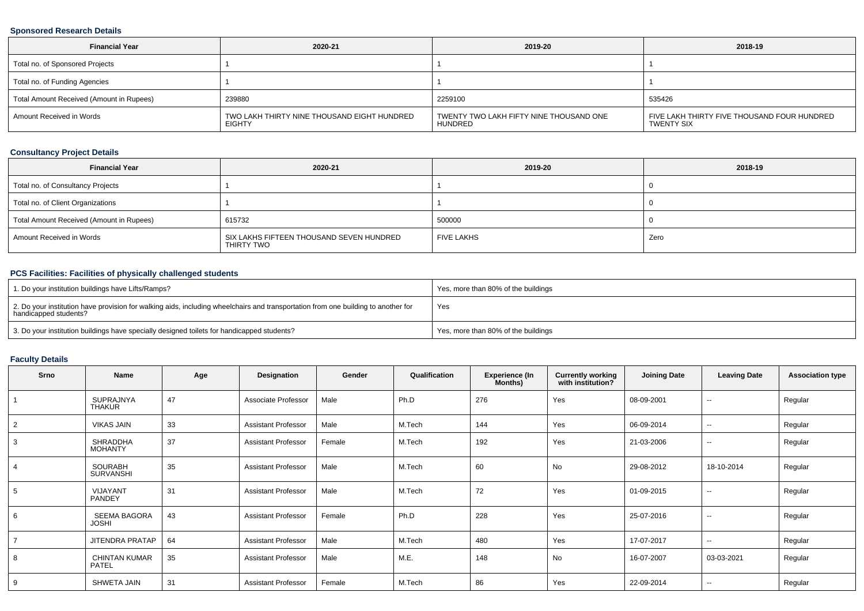### **Sponsored Research Details**

| <b>Financial Year</b>                    | 2020-21                                               | 2019-20                                            | 2018-19                                                   |
|------------------------------------------|-------------------------------------------------------|----------------------------------------------------|-----------------------------------------------------------|
| Total no. of Sponsored Projects          |                                                       |                                                    |                                                           |
| Total no. of Funding Agencies            |                                                       |                                                    |                                                           |
| Total Amount Received (Amount in Rupees) | 239880                                                | 2259100                                            | 535426                                                    |
| Amount Received in Words                 | TWO LAKH THIRTY NINE THOUSAND EIGHT HUNDRED<br>EIGHTY | TWENTY TWO LAKH FIFTY NINE THOUSAND ONE<br>HUNDRED | FIVE LAKH THIRTY FIVE THOUSAND FOUR HUNDRED<br>TWENTY SIX |

### **Consultancy Project Details**

| <b>Financial Year</b>                    | 2020-21                                                | 2019-20           | 2018-19 |
|------------------------------------------|--------------------------------------------------------|-------------------|---------|
| Total no. of Consultancy Projects        |                                                        |                   |         |
| Total no. of Client Organizations        |                                                        |                   |         |
| Total Amount Received (Amount in Rupees) | 615732                                                 | 500000            |         |
| Amount Received in Words                 | SIX LAKHS FIFTEEN THOUSAND SEVEN HUNDRED<br>THIRTY TWO | <b>FIVE LAKHS</b> | Zero    |

### **PCS Facilities: Facilities of physically challenged students**

| 1. Do your institution buildings have Lifts/Ramps?                                                                                                         | Yes, more than 80% of the buildings |
|------------------------------------------------------------------------------------------------------------------------------------------------------------|-------------------------------------|
| 2. Do your institution have provision for walking aids, including wheelchairs and transportation from one building to another for<br>handicapped students? | Yes                                 |
| 3. Do your institution buildings have specially designed toilets for handicapped students?                                                                 | Yes, more than 80% of the buildings |

### **Faculty Details**

| Srno           | Name                                | Age | Designation                | Gender | Qualification | <b>Experience (In</b><br>Months) | <b>Currently working</b><br>with institution? | <b>Joining Date</b> | <b>Leaving Date</b>      | <b>Association type</b> |
|----------------|-------------------------------------|-----|----------------------------|--------|---------------|----------------------------------|-----------------------------------------------|---------------------|--------------------------|-------------------------|
|                | <b>SUPRAJNYA</b><br><b>THAKUR</b>   | 47  | Associate Professor        | Male   | Ph.D          | 276                              | Yes                                           | 08-09-2001          | $\sim$                   | Regular                 |
| $\overline{2}$ | <b>VIKAS JAIN</b>                   | 33  | <b>Assistant Professor</b> | Male   | M.Tech        | 144                              | Yes                                           | 06-09-2014          | $\sim$                   | Regular                 |
| 3              | <b>SHRADDHA</b><br><b>MOHANTY</b>   | 37  | <b>Assistant Professor</b> | Female | M.Tech        | 192                              | Yes                                           | 21-03-2006          | $\sim$                   | Regular                 |
| $\overline{4}$ | <b>SOURABH</b><br><b>SURVANSHI</b>  | 35  | <b>Assistant Professor</b> | Male   | M.Tech        | 60                               | No                                            | 29-08-2012          | 18-10-2014               | Regular                 |
| 5              | VIJAYANT<br>PANDEY                  | 31  | <b>Assistant Professor</b> | Male   | M.Tech        | 72                               | Yes                                           | 01-09-2015          | $\sim$                   | Regular                 |
| 6              | <b>SEEMA BAGORA</b><br><b>JOSHI</b> | 43  | <b>Assistant Professor</b> | Female | Ph.D          | 228                              | Yes                                           | 25-07-2016          | $\overline{\phantom{a}}$ | Regular                 |
| $\overline{7}$ | <b>JITENDRA PRATAP</b>              | 64  | <b>Assistant Professor</b> | Male   | M.Tech        | 480                              | Yes                                           | 17-07-2017          | $\sim$                   | Regular                 |
| 8              | <b>CHINTAN KUMAR</b><br>PATEL       | 35  | <b>Assistant Professor</b> | Male   | M.E.          | 148                              | <b>No</b>                                     | 16-07-2007          | 03-03-2021               | Regular                 |
| 9              | SHWETA JAIN                         | 31  | <b>Assistant Professor</b> | Female | M.Tech        | 86                               | Yes                                           | 22-09-2014          | $\sim$                   | Regular                 |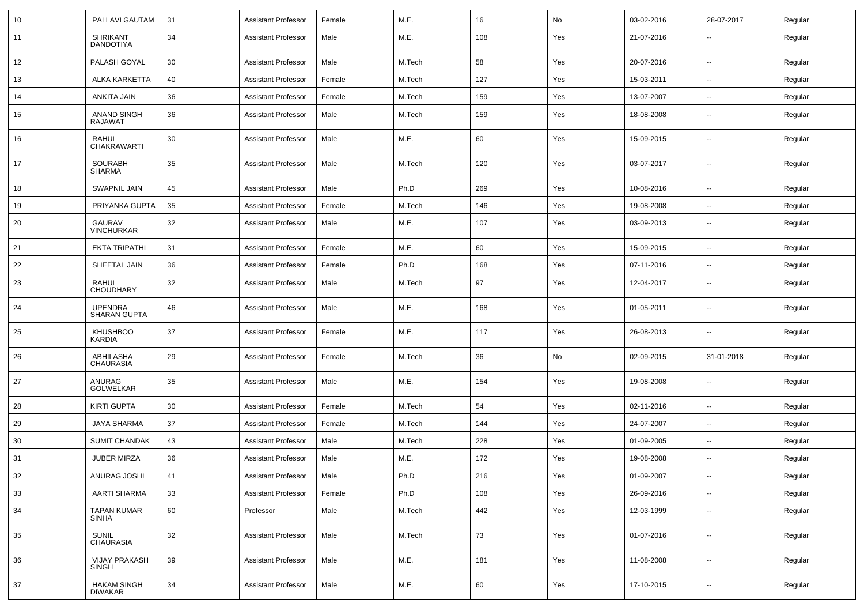| 10 | PALLAVI GAUTAM                       | 31 | <b>Assistant Professor</b> | Female | M.E.   | 16  | No  | 03-02-2016 | 28-07-2017               | Regular |
|----|--------------------------------------|----|----------------------------|--------|--------|-----|-----|------------|--------------------------|---------|
| 11 | <b>SHRIKANT</b><br><b>DANDOTIYA</b>  | 34 | <b>Assistant Professor</b> | Male   | M.E.   | 108 | Yes | 21-07-2016 | $\overline{\phantom{a}}$ | Regular |
| 12 | PALASH GOYAL                         | 30 | <b>Assistant Professor</b> | Male   | M.Tech | 58  | Yes | 20-07-2016 | $\overline{\phantom{a}}$ | Regular |
| 13 | ALKA KARKETTA                        | 40 | <b>Assistant Professor</b> | Female | M.Tech | 127 | Yes | 15-03-2011 | $\overline{\phantom{a}}$ | Regular |
| 14 | ANKITA JAIN                          | 36 | <b>Assistant Professor</b> | Female | M.Tech | 159 | Yes | 13-07-2007 | --                       | Regular |
| 15 | <b>ANAND SINGH</b><br><b>RAJAWAT</b> | 36 | <b>Assistant Professor</b> | Male   | M.Tech | 159 | Yes | 18-08-2008 | --                       | Regular |
| 16 | <b>RAHUL</b><br><b>CHAKRAWARTI</b>   | 30 | <b>Assistant Professor</b> | Male   | M.E.   | 60  | Yes | 15-09-2015 | --                       | Regular |
| 17 | <b>SOURABH</b><br><b>SHARMA</b>      | 35 | <b>Assistant Professor</b> | Male   | M.Tech | 120 | Yes | 03-07-2017 | --                       | Regular |
| 18 | <b>SWAPNIL JAIN</b>                  | 45 | <b>Assistant Professor</b> | Male   | Ph.D   | 269 | Yes | 10-08-2016 | $\overline{\phantom{a}}$ | Regular |
| 19 | PRIYANKA GUPTA                       | 35 | <b>Assistant Professor</b> | Female | M.Tech | 146 | Yes | 19-08-2008 | $\overline{\phantom{a}}$ | Regular |
| 20 | <b>GAURAV</b><br><b>VINCHURKAR</b>   | 32 | <b>Assistant Professor</b> | Male   | M.E.   | 107 | Yes | 03-09-2013 | --                       | Regular |
| 21 | <b>EKTA TRIPATHI</b>                 | 31 | <b>Assistant Professor</b> | Female | M.E.   | 60  | Yes | 15-09-2015 | --                       | Regular |
| 22 | SHEETAL JAIN                         | 36 | <b>Assistant Professor</b> | Female | Ph.D   | 168 | Yes | 07-11-2016 | $\overline{\phantom{a}}$ | Regular |
| 23 | <b>RAHUL</b><br><b>CHOUDHARY</b>     | 32 | <b>Assistant Professor</b> | Male   | M.Tech | 97  | Yes | 12-04-2017 | $\overline{\phantom{a}}$ | Regular |
| 24 | <b>UPENDRA</b><br>SHARAN GUPTA       | 46 | <b>Assistant Professor</b> | Male   | M.E.   | 168 | Yes | 01-05-2011 | $\overline{\phantom{a}}$ | Regular |
| 25 | <b>KHUSHBOO</b><br>KARDIA            | 37 | Assistant Professor        | Female | M.E.   | 117 | Yes | 26-08-2013 | $\overline{\phantom{a}}$ | Regular |
| 26 | ABHILASHA<br><b>CHAURASIA</b>        | 29 | Assistant Professor        | Female | M.Tech | 36  | No  | 02-09-2015 | 31-01-2018               | Regular |
| 27 | ANURAG<br><b>GOLWELKAR</b>           | 35 | <b>Assistant Professor</b> | Male   | M.E.   | 154 | Yes | 19-08-2008 | $\sim$                   | Regular |
| 28 | <b>KIRTI GUPTA</b>                   | 30 | <b>Assistant Professor</b> | Female | M.Tech | 54  | Yes | 02-11-2016 | $\overline{\phantom{a}}$ | Regular |
| 29 | JAYA SHARMA                          | 37 | Assistant Professor        | Female | M.Tech | 144 | Yes | 24-07-2007 | $\overline{\phantom{a}}$ | Regular |
| 30 | <b>SUMIT CHANDAK</b>                 | 43 | <b>Assistant Professor</b> | Male   | M.Tech | 228 | Yes | 01-09-2005 | $\overline{\phantom{a}}$ | Regular |
| 31 | <b>JUBER MIRZA</b>                   | 36 | <b>Assistant Professor</b> | Male   | M.E.   | 172 | Yes | 19-08-2008 | $\sim$                   | Regular |
| 32 | ANURAG JOSHI                         | 41 | <b>Assistant Professor</b> | Male   | Ph.D   | 216 | Yes | 01-09-2007 | $\sim$                   | Regular |
| 33 | <b>AARTI SHARMA</b>                  | 33 | <b>Assistant Professor</b> | Female | Ph.D   | 108 | Yes | 26-09-2016 | Щ,                       | Regular |
| 34 | <b>TAPAN KUMAR</b><br><b>SINHA</b>   | 60 | Professor                  | Male   | M.Tech | 442 | Yes | 12-03-1999 | $\sim$                   | Regular |
| 35 | <b>SUNIL</b><br><b>CHAURASIA</b>     | 32 | <b>Assistant Professor</b> | Male   | M.Tech | 73  | Yes | 01-07-2016 | $\sim$                   | Regular |
| 36 | <b>VIJAY PRAKASH</b><br><b>SINGH</b> | 39 | <b>Assistant Professor</b> | Male   | M.E.   | 181 | Yes | 11-08-2008 | Ξ.                       | Regular |
| 37 | <b>HAKAM SINGH</b><br><b>DIWAKAR</b> | 34 | <b>Assistant Professor</b> | Male   | M.E.   | 60  | Yes | 17-10-2015 | $\sim$                   | Regular |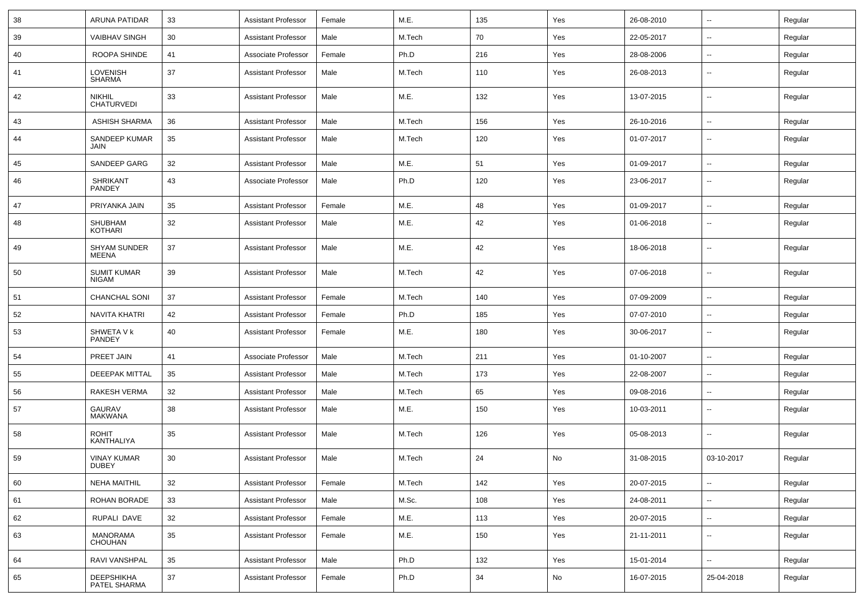| 38 | <b>ARUNA PATIDAR</b>                | 33 | <b>Assistant Professor</b> | Female | M.E.   | 135 | Yes | 26-08-2010 | $\overline{\phantom{a}}$ | Regular |
|----|-------------------------------------|----|----------------------------|--------|--------|-----|-----|------------|--------------------------|---------|
| 39 | <b>VAIBHAV SINGH</b>                | 30 | <b>Assistant Professor</b> | Male   | M.Tech | 70  | Yes | 22-05-2017 | --                       | Regular |
| 40 | ROOPA SHINDE                        | 41 | Associate Professor        | Female | Ph.D   | 216 | Yes | 28-08-2006 | $\overline{a}$           | Regular |
| 41 | <b>LOVENISH</b><br><b>SHARMA</b>    | 37 | <b>Assistant Professor</b> | Male   | M.Tech | 110 | Yes | 26-08-2013 | --                       | Regular |
| 42 | <b>NIKHIL</b><br><b>CHATURVEDI</b>  | 33 | <b>Assistant Professor</b> | Male   | M.E.   | 132 | Yes | 13-07-2015 | --                       | Regular |
| 43 | ASHISH SHARMA                       | 36 | <b>Assistant Professor</b> | Male   | M.Tech | 156 | Yes | 26-10-2016 | --                       | Regular |
| 44 | SANDEEP KUMAR<br>JAIN               | 35 | <b>Assistant Professor</b> | Male   | M.Tech | 120 | Yes | 01-07-2017 | --                       | Regular |
| 45 | SANDEEP GARG                        | 32 | <b>Assistant Professor</b> | Male   | M.E.   | 51  | Yes | 01-09-2017 | --                       | Regular |
| 46 | <b>SHRIKANT</b><br>PANDEY           | 43 | Associate Professor        | Male   | Ph.D   | 120 | Yes | 23-06-2017 | $\overline{\phantom{a}}$ | Regular |
| 47 | PRIYANKA JAIN                       | 35 | <b>Assistant Professor</b> | Female | M.E.   | 48  | Yes | 01-09-2017 | $\sim$                   | Regular |
| 48 | SHUBHAM<br>KOTHARI                  | 32 | <b>Assistant Professor</b> | Male   | M.E.   | 42  | Yes | 01-06-2018 | --                       | Regular |
| 49 | <b>SHYAM SUNDER</b><br><b>MEENA</b> | 37 | <b>Assistant Professor</b> | Male   | M.E.   | 42  | Yes | 18-06-2018 | --                       | Regular |
| 50 | <b>SUMIT KUMAR</b><br><b>NIGAM</b>  | 39 | <b>Assistant Professor</b> | Male   | M.Tech | 42  | Yes | 07-06-2018 | --                       | Regular |
| 51 | <b>CHANCHAL SONI</b>                | 37 | <b>Assistant Professor</b> | Female | M.Tech | 140 | Yes | 07-09-2009 | $\sim$                   | Regular |
| 52 | <b>NAVITA KHATRI</b>                | 42 | <b>Assistant Professor</b> | Female | Ph.D   | 185 | Yes | 07-07-2010 | --                       | Regular |
| 53 | SHWETA V k<br>PANDEY                | 40 | <b>Assistant Professor</b> | Female | M.E.   | 180 | Yes | 30-06-2017 | $\overline{a}$           | Regular |
| 54 | PREET JAIN                          | 41 | Associate Professor        | Male   | M.Tech | 211 | Yes | 01-10-2007 | --                       | Regular |
| 55 | <b>DEEEPAK MITTAL</b>               | 35 | <b>Assistant Professor</b> | Male   | M.Tech | 173 | Yes | 22-08-2007 | $\overline{\phantom{a}}$ | Regular |
| 56 | <b>RAKESH VERMA</b>                 | 32 | <b>Assistant Professor</b> | Male   | M.Tech | 65  | Yes | 09-08-2016 | --                       | Regular |
| 57 | <b>GAURAV</b><br><b>MAKWANA</b>     | 38 | <b>Assistant Professor</b> | Male   | M.E.   | 150 | Yes | 10-03-2011 | $\sim$                   | Regular |
| 58 | <b>ROHIT</b><br>KANTHALIYA          | 35 | <b>Assistant Professor</b> | Male   | M.Tech | 126 | Yes | 05-08-2013 | $\overline{a}$           | Regular |
| 59 | <b>VINAY KUMAR</b><br><b>DUBEY</b>  | 30 | <b>Assistant Professor</b> | Male   | M.Tech | 24  | No  | 31-08-2015 | 03-10-2017               | Regular |
| 60 | <b>NEHA MAITHIL</b>                 | 32 | <b>Assistant Professor</b> | Female | M.Tech | 142 | Yes | 20-07-2015 | $\ddot{\phantom{a}}$     | Regular |
| 61 | ROHAN BORADE                        | 33 | <b>Assistant Professor</b> | Male   | M.Sc.  | 108 | Yes | 24-08-2011 | $\sim$                   | Regular |
| 62 | RUPALI DAVE                         | 32 | <b>Assistant Professor</b> | Female | M.E.   | 113 | Yes | 20-07-2015 | $\overline{\phantom{a}}$ | Regular |
| 63 | MANORAMA<br>CHOUHAN                 | 35 | <b>Assistant Professor</b> | Female | M.E.   | 150 | Yes | 21-11-2011 | $\overline{\phantom{a}}$ | Regular |
| 64 | RAVI VANSHPAL                       | 35 | <b>Assistant Professor</b> | Male   | Ph.D   | 132 | Yes | 15-01-2014 | u.                       | Regular |
| 65 | <b>DEEPSHIKHA</b><br>PATEL SHARMA   | 37 | <b>Assistant Professor</b> | Female | Ph.D   | 34  | No  | 16-07-2015 | 25-04-2018               | Regular |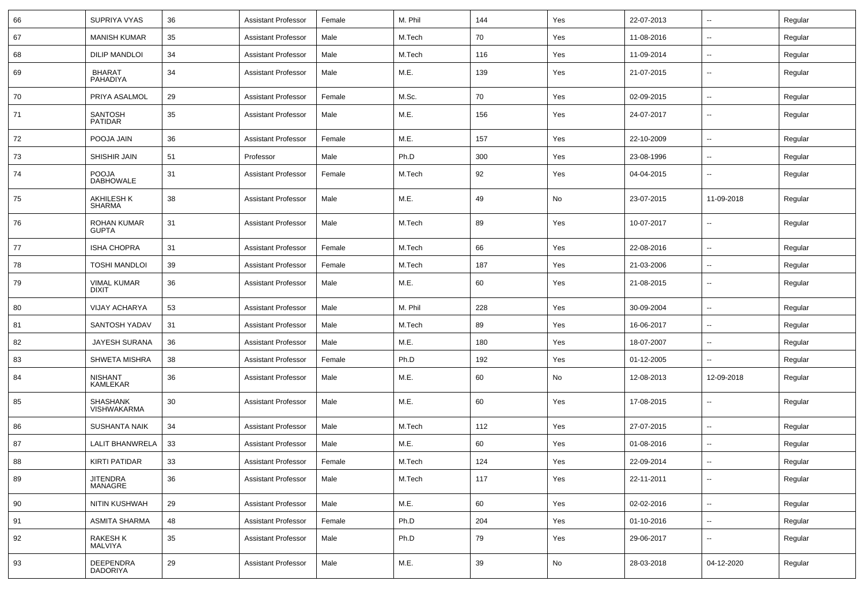| 66 | SUPRIYA VYAS                       | 36 | <b>Assistant Professor</b> | Female | M. Phil | 144 | Yes | 22-07-2013 | ⊶.                       | Regular |
|----|------------------------------------|----|----------------------------|--------|---------|-----|-----|------------|--------------------------|---------|
| 67 | <b>MANISH KUMAR</b>                | 35 | <b>Assistant Professor</b> | Male   | M.Tech  | 70  | Yes | 11-08-2016 | $\overline{\phantom{a}}$ | Regular |
| 68 | <b>DILIP MANDLOI</b>               | 34 | <b>Assistant Professor</b> | Male   | M.Tech  | 116 | Yes | 11-09-2014 | --                       | Regular |
| 69 | BHARAT<br>PAHADIYA                 | 34 | <b>Assistant Professor</b> | Male   | M.E.    | 139 | Yes | 21-07-2015 | -−                       | Regular |
| 70 | PRIYA ASALMOL                      | 29 | <b>Assistant Professor</b> | Female | M.Sc.   | 70  | Yes | 02-09-2015 | $\overline{\phantom{a}}$ | Regular |
| 71 | SANTOSH<br><b>PATIDAR</b>          | 35 | <b>Assistant Professor</b> | Male   | M.E.    | 156 | Yes | 24-07-2017 | $\overline{\phantom{a}}$ | Regular |
| 72 | POOJA JAIN                         | 36 | <b>Assistant Professor</b> | Female | M.E.    | 157 | Yes | 22-10-2009 | $\overline{\phantom{a}}$ | Regular |
| 73 | SHISHIR JAIN                       | 51 | Professor                  | Male   | Ph.D    | 300 | Yes | 23-08-1996 | ⊷.                       | Regular |
| 74 | POOJA<br><b>DABHOWALE</b>          | 31 | <b>Assistant Professor</b> | Female | M.Tech  | 92  | Yes | 04-04-2015 | ∽-                       | Regular |
| 75 | <b>AKHILESH K</b><br><b>SHARMA</b> | 38 | <b>Assistant Professor</b> | Male   | M.E.    | 49  | No  | 23-07-2015 | 11-09-2018               | Regular |
| 76 | ROHAN KUMAR<br><b>GUPTA</b>        | 31 | <b>Assistant Professor</b> | Male   | M.Tech  | 89  | Yes | 10-07-2017 | $\overline{\phantom{a}}$ | Regular |
| 77 | <b>ISHA CHOPRA</b>                 | 31 | <b>Assistant Professor</b> | Female | M.Tech  | 66  | Yes | 22-08-2016 | ⊷.                       | Regular |
| 78 | <b>TOSHI MANDLOI</b>               | 39 | <b>Assistant Professor</b> | Female | M.Tech  | 187 | Yes | 21-03-2006 | ⊷.                       | Regular |
| 79 | <b>VIMAL KUMAR</b><br><b>DIXIT</b> | 36 | <b>Assistant Professor</b> | Male   | M.E.    | 60  | Yes | 21-08-2015 | $\overline{\phantom{a}}$ | Regular |
| 80 | <b>VIJAY ACHARYA</b>               | 53 | <b>Assistant Professor</b> | Male   | M. Phil | 228 | Yes | 30-09-2004 | --                       | Regular |
| 81 | SANTOSH YADAV                      | 31 | <b>Assistant Professor</b> | Male   | M.Tech  | 89  | Yes | 16-06-2017 | --                       | Regular |
| 82 | <b>JAYESH SURANA</b>               | 36 | <b>Assistant Professor</b> | Male   | M.E.    | 180 | Yes | 18-07-2007 | $\overline{\phantom{a}}$ | Regular |
| 83 | SHWETA MISHRA                      | 38 | <b>Assistant Professor</b> | Female | Ph.D    | 192 | Yes | 01-12-2005 | $\overline{\phantom{a}}$ | Regular |
| 84 | <b>NISHANT</b><br><b>KAMLEKAR</b>  | 36 | <b>Assistant Professor</b> | Male   | M.E.    | 60  | No  | 12-08-2013 | 12-09-2018               | Regular |
| 85 | SHASHANK<br>VISHWAKARMA            | 30 | <b>Assistant Professor</b> | Male   | M.E.    | 60  | Yes | 17-08-2015 | н.                       | Regular |
| 86 | <b>SUSHANTA NAIK</b>               | 34 | <b>Assistant Professor</b> | Male   | M.Tech  | 112 | Yes | 27-07-2015 | ⊷.                       | Regular |
| 87 | LALIT BHANWRELA                    | 33 | <b>Assistant Professor</b> | Male   | M.E.    | 60  | Yes | 01-08-2016 | $\overline{\phantom{a}}$ | Regular |
| 88 | <b>KIRTI PATIDAR</b>               | 33 | <b>Assistant Professor</b> | Female | M.Tech  | 124 | Yes | 22-09-2014 |                          | Regular |
| 89 | JITENDRA<br>MANAGRE                | 36 | <b>Assistant Professor</b> | Male   | M.Tech  | 117 | Yes | 22-11-2011 | ⊷.                       | Regular |
| 90 | NITIN KUSHWAH                      | 29 | <b>Assistant Professor</b> | Male   | M.E.    | 60  | Yes | 02-02-2016 | ш.                       | Regular |
| 91 | <b>ASMITA SHARMA</b>               | 48 | <b>Assistant Professor</b> | Female | Ph.D    | 204 | Yes | 01-10-2016 | ш.                       | Regular |
| 92 | RAKESH K<br>MALVIYA                | 35 | <b>Assistant Professor</b> | Male   | Ph.D    | 79  | Yes | 29-06-2017 | $\overline{\phantom{a}}$ | Regular |
| 93 | DEEPENDRA<br>DADORIYA              | 29 | <b>Assistant Professor</b> | Male   | M.E.    | 39  | No  | 28-03-2018 | 04-12-2020               | Regular |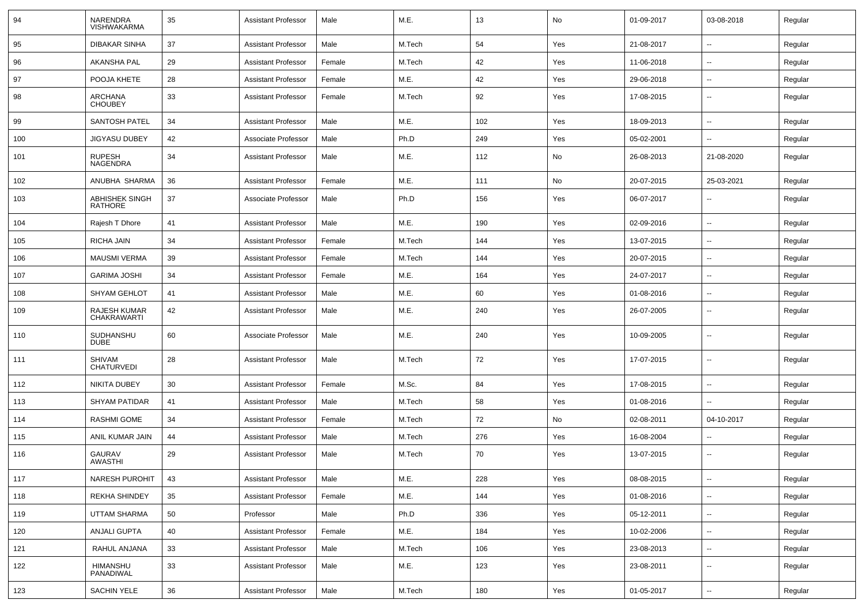| 94  | <b>NARENDRA</b><br><b>VISHWAKARMA</b>   | 35 | <b>Assistant Professor</b> | Male   | M.E.   | 13  | No  | 01-09-2017 | 03-08-2018               | Regular |
|-----|-----------------------------------------|----|----------------------------|--------|--------|-----|-----|------------|--------------------------|---------|
| 95  | <b>DIBAKAR SINHA</b>                    | 37 | <b>Assistant Professor</b> | Male   | M.Tech | 54  | Yes | 21-08-2017 | $\sim$                   | Regular |
| 96  | AKANSHA PAL                             | 29 | <b>Assistant Professor</b> | Female | M.Tech | 42  | Yes | 11-06-2018 | $\overline{\phantom{a}}$ | Regular |
| 97  | POOJA KHETE                             | 28 | <b>Assistant Professor</b> | Female | M.E.   | 42  | Yes | 29-06-2018 | $\overline{\phantom{a}}$ | Regular |
| 98  | <b>ARCHANA</b><br><b>CHOUBEY</b>        | 33 | <b>Assistant Professor</b> | Female | M.Tech | 92  | Yes | 17-08-2015 | $\overline{\phantom{a}}$ | Regular |
| 99  | <b>SANTOSH PATEL</b>                    | 34 | <b>Assistant Professor</b> | Male   | M.E.   | 102 | Yes | 18-09-2013 | $\overline{\phantom{a}}$ | Regular |
| 100 | <b>JIGYASU DUBEY</b>                    | 42 | Associate Professor        | Male   | Ph.D   | 249 | Yes | 05-02-2001 |                          | Regular |
| 101 | <b>RUPESH</b><br>NAGENDRA               | 34 | Assistant Professor        | Male   | M.E.   | 112 | No  | 26-08-2013 | 21-08-2020               | Regular |
| 102 | ANUBHA SHARMA                           | 36 | <b>Assistant Professor</b> | Female | M.E.   | 111 | No  | 20-07-2015 | 25-03-2021               | Regular |
| 103 | <b>ABHISHEK SINGH</b><br><b>RATHORE</b> | 37 | Associate Professor        | Male   | Ph.D   | 156 | Yes | 06-07-2017 | $\overline{\phantom{a}}$ | Regular |
| 104 | Rajesh T Dhore                          | 41 | <b>Assistant Professor</b> | Male   | M.E.   | 190 | Yes | 02-09-2016 | $\sim$                   | Regular |
| 105 | RICHA JAIN                              | 34 | <b>Assistant Professor</b> | Female | M.Tech | 144 | Yes | 13-07-2015 | $\overline{\phantom{a}}$ | Regular |
| 106 | <b>MAUSMI VERMA</b>                     | 39 | <b>Assistant Professor</b> | Female | M.Tech | 144 | Yes | 20-07-2015 | $\overline{\phantom{a}}$ | Regular |
| 107 | <b>GARIMA JOSHI</b>                     | 34 | <b>Assistant Professor</b> | Female | M.E.   | 164 | Yes | 24-07-2017 | $\overline{\phantom{a}}$ | Regular |
| 108 | <b>SHYAM GEHLOT</b>                     | 41 | <b>Assistant Professor</b> | Male   | M.E.   | 60  | Yes | 01-08-2016 | $\overline{\phantom{a}}$ | Regular |
| 109 | RAJESH KUMAR<br><b>CHAKRAWARTI</b>      | 42 | <b>Assistant Professor</b> | Male   | M.E.   | 240 | Yes | 26-07-2005 |                          | Regular |
| 110 | SUDHANSHU<br><b>DUBE</b>                | 60 | Associate Professor        | Male   | M.E.   | 240 | Yes | 10-09-2005 | $\overline{\phantom{a}}$ | Regular |
| 111 | SHIVAM<br><b>CHATURVEDI</b>             | 28 | <b>Assistant Professor</b> | Male   | M.Tech | 72  | Yes | 17-07-2015 | $\sim$                   | Regular |
| 112 | NIKITA DUBEY                            | 30 | <b>Assistant Professor</b> | Female | M.Sc.  | 84  | Yes | 17-08-2015 |                          | Regular |
| 113 | <b>SHYAM PATIDAR</b>                    | 41 | <b>Assistant Professor</b> | Male   | M.Tech | 58  | Yes | 01-08-2016 |                          | Regular |
| 114 | <b>RASHMI GOME</b>                      | 34 | <b>Assistant Professor</b> | Female | M.Tech | 72  | No  | 02-08-2011 | 04-10-2017               | Regular |
| 115 | ANIL KUMAR JAIN                         | 44 | Assistant Professor        | Male   | M.Tech | 276 | Yes | 16-08-2004 |                          | Regular |
| 116 | <b>GAURAV</b><br>AWASTHI                | 29 | <b>Assistant Professor</b> | Male   | M.Tech | 70  | Yes | 13-07-2015 | $\overline{\phantom{a}}$ | Regular |
| 117 | NARESH PUROHIT                          | 43 | <b>Assistant Professor</b> | Male   | M.E.   | 228 | Yes | 08-08-2015 | $\overline{\phantom{a}}$ | Regular |
| 118 | REKHA SHINDEY                           | 35 | <b>Assistant Professor</b> | Female | M.E.   | 144 | Yes | 01-08-2016 | $\sim$                   | Regular |
| 119 | UTTAM SHARMA                            | 50 | Professor                  | Male   | Ph.D   | 336 | Yes | 05-12-2011 | $\sim$                   | Regular |
| 120 | ANJALI GUPTA                            | 40 | <b>Assistant Professor</b> | Female | M.E.   | 184 | Yes | 10-02-2006 | $\sim$                   | Regular |
| 121 | RAHUL ANJANA                            | 33 | <b>Assistant Professor</b> | Male   | M.Tech | 106 | Yes | 23-08-2013 | $\sim$                   | Regular |
| 122 | HIMANSHU<br>PANADIWAL                   | 33 | <b>Assistant Professor</b> | Male   | M.E.   | 123 | Yes | 23-08-2011 | $\sim$                   | Regular |
| 123 | SACHIN YELE                             | 36 | <b>Assistant Professor</b> | Male   | M.Tech | 180 | Yes | 01-05-2017 | $\overline{\phantom{a}}$ | Regular |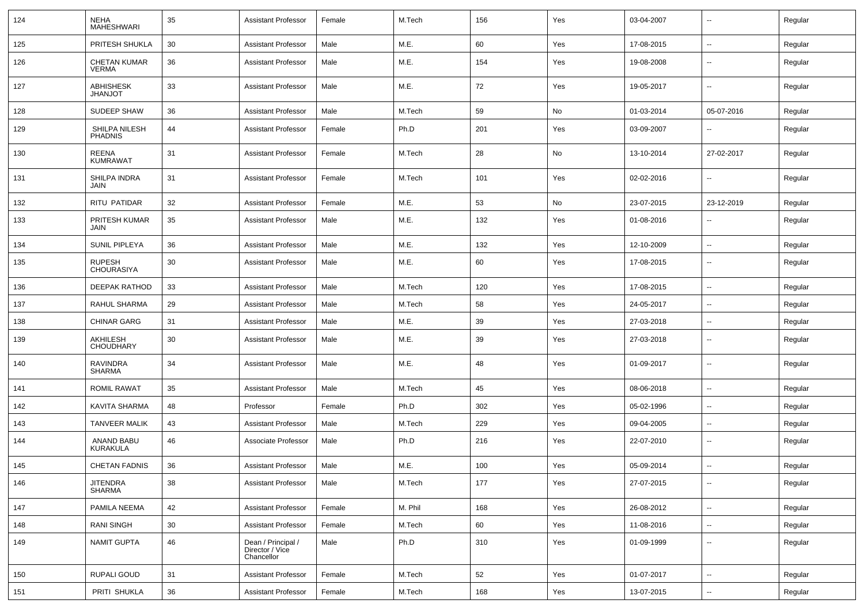| 124 | <b>NEHA</b><br><b>MAHESHWARI</b>    | 35 | <b>Assistant Professor</b>                          | Female | M.Tech  | 156 | Yes | 03-04-2007 | $\sim$                   | Regular |
|-----|-------------------------------------|----|-----------------------------------------------------|--------|---------|-----|-----|------------|--------------------------|---------|
| 125 | PRITESH SHUKLA                      | 30 | <b>Assistant Professor</b>                          | Male   | M.E.    | 60  | Yes | 17-08-2015 | $\sim$                   | Regular |
| 126 | <b>CHETAN KUMAR</b><br><b>VERMA</b> | 36 | <b>Assistant Professor</b>                          | Male   | M.E.    | 154 | Yes | 19-08-2008 | $\overline{\phantom{a}}$ | Regular |
| 127 | <b>ABHISHESK</b><br><b>JHANJOT</b>  | 33 | <b>Assistant Professor</b>                          | Male   | M.E.    | 72  | Yes | 19-05-2017 | $\mathbf{u}$             | Regular |
| 128 | <b>SUDEEP SHAW</b>                  | 36 | <b>Assistant Professor</b>                          | Male   | M.Tech  | 59  | No  | 01-03-2014 | 05-07-2016               | Regular |
| 129 | SHILPA NILESH<br><b>PHADNIS</b>     | 44 | <b>Assistant Professor</b>                          | Female | Ph.D    | 201 | Yes | 03-09-2007 | $\overline{\phantom{a}}$ | Regular |
| 130 | REENA<br><b>KUMRAWAT</b>            | 31 | <b>Assistant Professor</b>                          | Female | M.Tech  | 28  | No  | 13-10-2014 | 27-02-2017               | Regular |
| 131 | SHILPA INDRA<br><b>JAIN</b>         | 31 | <b>Assistant Professor</b>                          | Female | M.Tech  | 101 | Yes | 02-02-2016 | $\overline{\phantom{a}}$ | Regular |
| 132 | RITU PATIDAR                        | 32 | <b>Assistant Professor</b>                          | Female | M.E.    | 53  | No  | 23-07-2015 | 23-12-2019               | Regular |
| 133 | PRITESH KUMAR<br>JAIN               | 35 | <b>Assistant Professor</b>                          | Male   | M.E.    | 132 | Yes | 01-08-2016 | $\overline{\phantom{a}}$ | Regular |
| 134 | SUNIL PIPLEYA                       | 36 | <b>Assistant Professor</b>                          | Male   | M.E.    | 132 | Yes | 12-10-2009 | $\overline{\phantom{a}}$ | Regular |
| 135 | <b>RUPESH</b><br><b>CHOURASIYA</b>  | 30 | <b>Assistant Professor</b>                          | Male   | M.E.    | 60  | Yes | 17-08-2015 | $\overline{\phantom{a}}$ | Regular |
| 136 | <b>DEEPAK RATHOD</b>                | 33 | <b>Assistant Professor</b>                          | Male   | M.Tech  | 120 | Yes | 17-08-2015 | $\mathbf{u}$             | Regular |
| 137 | RAHUL SHARMA                        | 29 | <b>Assistant Professor</b>                          | Male   | M.Tech  | 58  | Yes | 24-05-2017 | $\sim$                   | Regular |
| 138 | <b>CHINAR GARG</b>                  | 31 | <b>Assistant Professor</b>                          | Male   | M.E.    | 39  | Yes | 27-03-2018 | $\sim$                   | Regular |
| 139 | AKHILESH<br><b>CHOUDHARY</b>        | 30 | <b>Assistant Professor</b>                          | Male   | M.E.    | 39  | Yes | 27-03-2018 | $\sim$                   | Regular |
| 140 | <b>RAVINDRA</b><br><b>SHARMA</b>    | 34 | <b>Assistant Professor</b>                          | Male   | M.E.    | 48  | Yes | 01-09-2017 | $\sim$                   | Regular |
| 141 | <b>ROMIL RAWAT</b>                  | 35 | <b>Assistant Professor</b>                          | Male   | M.Tech  | 45  | Yes | 08-06-2018 | $\sim$                   | Regular |
| 142 | KAVITA SHARMA                       | 48 | Professor                                           | Female | Ph.D    | 302 | Yes | 05-02-1996 | $\overline{\phantom{a}}$ | Regular |
| 143 | TANVEER MALIK                       | 43 | <b>Assistant Professor</b>                          | Male   | M.Tech  | 229 | Yes | 09-04-2005 | $\overline{\phantom{a}}$ | Regular |
| 144 | <b>ANAND BABU</b><br>KURAKULA       | 46 | Associate Professor                                 | Male   | Ph.D    | 216 | Yes | 22-07-2010 | $\overline{\phantom{a}}$ | Regular |
| 145 | <b>CHETAN FADNIS</b>                | 36 | <b>Assistant Professor</b>                          | Male   | M.E.    | 100 | Yes | 05-09-2014 | $\overline{\phantom{a}}$ | Regular |
| 146 | <b>JITENDRA</b><br><b>SHARMA</b>    | 38 | <b>Assistant Professor</b>                          | Male   | M.Tech  | 177 | Yes | 27-07-2015 | $\sim$                   | Regular |
| 147 | PAMILA NEEMA                        | 42 | Assistant Professor                                 | Female | M. Phil | 168 | Yes | 26-08-2012 | $\sim$                   | Regular |
| 148 | <b>RANI SINGH</b>                   | 30 | <b>Assistant Professor</b>                          | Female | M.Tech  | 60  | Yes | 11-08-2016 | $\sim$                   | Regular |
| 149 | <b>NAMIT GUPTA</b>                  | 46 | Dean / Principal /<br>Director / Vice<br>Chancellor | Male   | Ph.D    | 310 | Yes | 01-09-1999 | $\sim$                   | Regular |
| 150 | RUPALI GOUD                         | 31 | <b>Assistant Professor</b>                          | Female | M.Tech  | 52  | Yes | 01-07-2017 | $\sim$                   | Regular |
| 151 | PRITI SHUKLA                        | 36 | <b>Assistant Professor</b>                          | Female | M.Tech  | 168 | Yes | 13-07-2015 | $\sim$                   | Regular |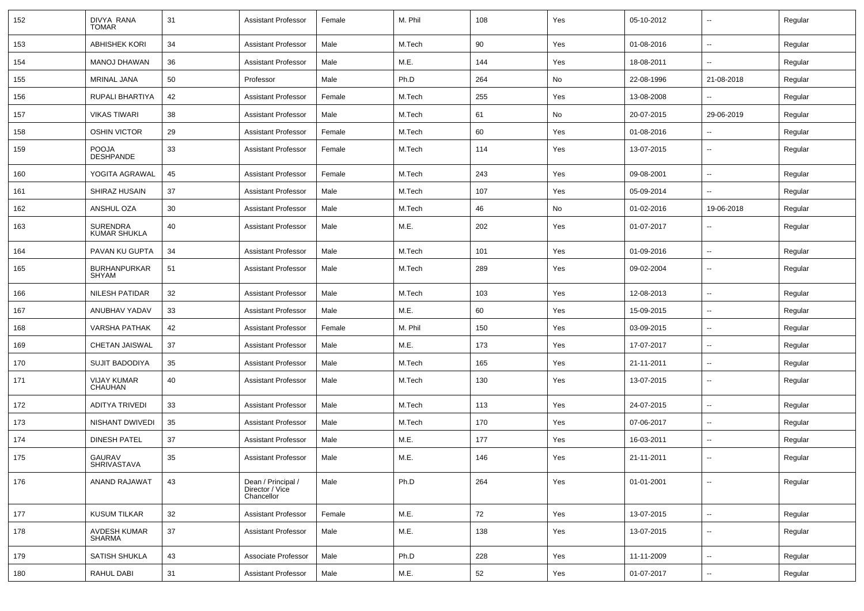| 152 | DIVYA RANA<br><b>TOMAR</b>      | 31 | <b>Assistant Professor</b>                          | Female | M. Phil | 108 | Yes | 05-10-2012 |                          | Regular |
|-----|---------------------------------|----|-----------------------------------------------------|--------|---------|-----|-----|------------|--------------------------|---------|
| 153 | <b>ABHISHEK KORI</b>            | 34 | <b>Assistant Professor</b>                          | Male   | M.Tech  | 90  | Yes | 01-08-2016 | $\overline{\phantom{a}}$ | Regular |
| 154 | <b>MANOJ DHAWAN</b>             | 36 | <b>Assistant Professor</b>                          | Male   | M.E.    | 144 | Yes | 18-08-2011 | $\overline{a}$           | Regular |
| 155 | MRINAL JANA                     | 50 | Professor                                           | Male   | Ph.D    | 264 | No  | 22-08-1996 | 21-08-2018               | Regular |
| 156 | RUPALI BHARTIYA                 | 42 | <b>Assistant Professor</b>                          | Female | M.Tech  | 255 | Yes | 13-08-2008 |                          | Regular |
| 157 | <b>VIKAS TIWARI</b>             | 38 | <b>Assistant Professor</b>                          | Male   | M.Tech  | 61  | No  | 20-07-2015 | 29-06-2019               | Regular |
| 158 | <b>OSHIN VICTOR</b>             | 29 | <b>Assistant Professor</b>                          | Female | M.Tech  | 60  | Yes | 01-08-2016 | --                       | Regular |
| 159 | POOJA<br>DESHPANDE              | 33 | <b>Assistant Professor</b>                          | Female | M.Tech  | 114 | Yes | 13-07-2015 | $\overline{\phantom{a}}$ | Regular |
| 160 | YOGITA AGRAWAL                  | 45 | <b>Assistant Professor</b>                          | Female | M.Tech  | 243 | Yes | 09-08-2001 | --                       | Regular |
| 161 | SHIRAZ HUSAIN                   | 37 | <b>Assistant Professor</b>                          | Male   | M.Tech  | 107 | Yes | 05-09-2014 | $\overline{\phantom{a}}$ | Regular |
| 162 | ANSHUL OZA                      | 30 | <b>Assistant Professor</b>                          | Male   | M.Tech  | 46  | No  | 01-02-2016 | 19-06-2018               | Regular |
| 163 | <b>SURENDRA</b><br>KUMAR SHUKLA | 40 | <b>Assistant Professor</b>                          | Male   | M.E.    | 202 | Yes | 01-07-2017 |                          | Regular |
| 164 | PAVAN KU GUPTA                  | 34 | <b>Assistant Professor</b>                          | Male   | M.Tech  | 101 | Yes | 01-09-2016 | --                       | Regular |
| 165 | <b>BURHANPURKAR</b><br>SHYAM    | 51 | <b>Assistant Professor</b>                          | Male   | M.Tech  | 289 | Yes | 09-02-2004 | $\overline{\phantom{a}}$ | Regular |
| 166 | <b>NILESH PATIDAR</b>           | 32 | <b>Assistant Professor</b>                          | Male   | M.Tech  | 103 | Yes | 12-08-2013 | $\overline{\phantom{a}}$ | Regular |
| 167 | ANUBHAV YADAV                   | 33 | <b>Assistant Professor</b>                          | Male   | M.E.    | 60  | Yes | 15-09-2015 | --                       | Regular |
| 168 | <b>VARSHA PATHAK</b>            | 42 | <b>Assistant Professor</b>                          | Female | M. Phil | 150 | Yes | 03-09-2015 | --                       | Regular |
| 169 | CHETAN JAISWAL                  | 37 | <b>Assistant Professor</b>                          | Male   | M.E.    | 173 | Yes | 17-07-2017 | $\overline{a}$           | Regular |
| 170 | <b>SUJIT BADODIYA</b>           | 35 | <b>Assistant Professor</b>                          | Male   | M.Tech  | 165 | Yes | 21-11-2011 | --                       | Regular |
| 171 | <b>VIJAY KUMAR</b><br>CHAUHAN   | 40 | <b>Assistant Professor</b>                          | Male   | M.Tech  | 130 | Yes | 13-07-2015 | --                       | Regular |
| 172 | <b>ADITYA TRIVEDI</b>           | 33 | <b>Assistant Professor</b>                          | Male   | M.Tech  | 113 | Yes | 24-07-2015 |                          | Regular |
| 173 | <b>NISHANT DWIVEDI</b>          | 35 | <b>Assistant Professor</b>                          | Male   | M.Tech  | 170 | Yes | 07-06-2017 | $\overline{\phantom{a}}$ | Regular |
| 174 | <b>DINESH PATEL</b>             | 37 | <b>Assistant Professor</b>                          | Male   | M.E.    | 177 | Yes | 16-03-2011 | $\overline{\phantom{a}}$ | Regular |
| 175 | GAURAV<br><b>SHRIVASTAVA</b>    | 35 | <b>Assistant Professor</b>                          | Male   | M.E.    | 146 | Yes | 21-11-2011 | --                       | Regular |
| 176 | ANAND RAJAWAT                   | 43 | Dean / Principal /<br>Director / Vice<br>Chancellor | Male   | Ph.D    | 264 | Yes | 01-01-2001 | $\overline{\phantom{a}}$ | Regular |
| 177 | <b>KUSUM TILKAR</b>             | 32 | <b>Assistant Professor</b>                          | Female | M.E.    | 72  | Yes | 13-07-2015 | н.                       | Regular |
| 178 | AVDESH KUMAR<br>SHARMA          | 37 | <b>Assistant Professor</b>                          | Male   | M.E.    | 138 | Yes | 13-07-2015 | $\overline{\phantom{a}}$ | Regular |
| 179 | <b>SATISH SHUKLA</b>            | 43 | Associate Professor                                 | Male   | Ph.D    | 228 | Yes | 11-11-2009 | $\overline{\phantom{a}}$ | Regular |
| 180 | RAHUL DABI                      | 31 | <b>Assistant Professor</b>                          | Male   | M.E.    | 52  | Yes | 01-07-2017 | ⊷.                       | Regular |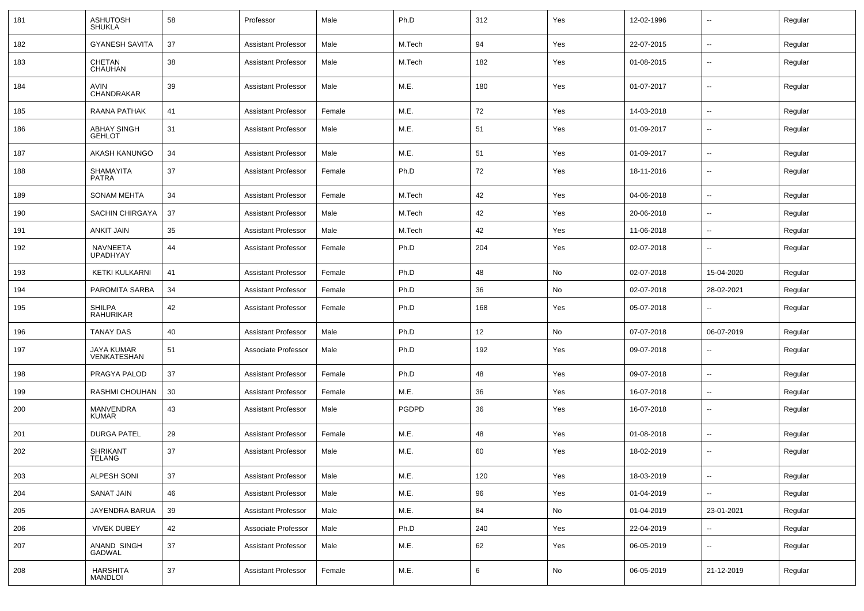| 181 | <b>ASHUTOSH</b><br><b>SHUKLA</b>    | 58 | Professor                  | Male   | Ph.D         | 312 | Yes | 12-02-1996 | $\overline{\phantom{a}}$ | Regular |
|-----|-------------------------------------|----|----------------------------|--------|--------------|-----|-----|------------|--------------------------|---------|
| 182 | <b>GYANESH SAVITA</b>               | 37 | <b>Assistant Professor</b> | Male   | M.Tech       | 94  | Yes | 22-07-2015 | ⊷.                       | Regular |
| 183 | CHETAN<br>CHAUHAN                   | 38 | <b>Assistant Professor</b> | Male   | M.Tech       | 182 | Yes | 01-08-2015 | --                       | Regular |
| 184 | AVIN<br>CHANDRAKAR                  | 39 | <b>Assistant Professor</b> | Male   | M.E.         | 180 | Yes | 01-07-2017 | $\overline{\phantom{a}}$ | Regular |
| 185 | RAANA PATHAK                        | 41 | <b>Assistant Professor</b> | Female | M.E.         | 72  | Yes | 14-03-2018 | $\sim$                   | Regular |
| 186 | <b>ABHAY SINGH</b><br><b>GEHLOT</b> | 31 | <b>Assistant Professor</b> | Male   | M.E.         | 51  | Yes | 01-09-2017 | $\overline{\phantom{a}}$ | Regular |
| 187 | AKASH KANUNGO                       | 34 | <b>Assistant Professor</b> | Male   | M.E.         | 51  | Yes | 01-09-2017 | $\overline{\phantom{a}}$ | Regular |
| 188 | SHAMAYITA<br><b>PATRA</b>           | 37 | <b>Assistant Professor</b> | Female | Ph.D         | 72  | Yes | 18-11-2016 | $\overline{\phantom{a}}$ | Regular |
| 189 | <b>SONAM MEHTA</b>                  | 34 | <b>Assistant Professor</b> | Female | M.Tech       | 42  | Yes | 04-06-2018 | $\overline{\phantom{a}}$ | Regular |
| 190 | SACHIN CHIRGAYA                     | 37 | <b>Assistant Professor</b> | Male   | M.Tech       | 42  | Yes | 20-06-2018 | $\sim$                   | Regular |
| 191 | <b>ANKIT JAIN</b>                   | 35 | <b>Assistant Professor</b> | Male   | M.Tech       | 42  | Yes | 11-06-2018 | $\sim$                   | Regular |
| 192 | NAVNEETA<br><b>UPADHYAY</b>         | 44 | <b>Assistant Professor</b> | Female | Ph.D         | 204 | Yes | 02-07-2018 | $\sim$                   | Regular |
| 193 | <b>KETKI KULKARNI</b>               | 41 | <b>Assistant Professor</b> | Female | Ph.D         | 48  | No  | 02-07-2018 | 15-04-2020               | Regular |
| 194 | PAROMITA SARBA                      | 34 | <b>Assistant Professor</b> | Female | Ph.D         | 36  | No  | 02-07-2018 | 28-02-2021               | Regular |
| 195 | <b>SHILPA</b><br>RAHURIKAR          | 42 | <b>Assistant Professor</b> | Female | Ph.D         | 168 | Yes | 05-07-2018 | $\overline{\phantom{a}}$ | Regular |
| 196 | <b>TANAY DAS</b>                    | 40 | <b>Assistant Professor</b> | Male   | Ph.D         | 12  | No  | 07-07-2018 | 06-07-2019               | Regular |
| 197 | JAYA KUMAR<br>VENKATESHAN           | 51 | Associate Professor        | Male   | Ph.D         | 192 | Yes | 09-07-2018 | $\overline{\phantom{a}}$ | Regular |
| 198 | PRAGYA PALOD                        | 37 | <b>Assistant Professor</b> | Female | Ph.D         | 48  | Yes | 09-07-2018 | $\overline{\phantom{a}}$ | Regular |
| 199 | RASHMI CHOUHAN                      | 30 | <b>Assistant Professor</b> | Female | M.E.         | 36  | Yes | 16-07-2018 | $\overline{\phantom{a}}$ | Regular |
| 200 | MANVENDRA<br><b>KUMAR</b>           | 43 | <b>Assistant Professor</b> | Male   | <b>PGDPD</b> | 36  | Yes | 16-07-2018 | $\overline{\phantom{a}}$ | Regular |
| 201 | <b>DURGA PATEL</b>                  | 29 | <b>Assistant Professor</b> | Female | M.E.         | 48  | Yes | 01-08-2018 | $\sim$                   | Regular |
| 202 | <b>SHRIKANT</b><br><b>TELANG</b>    | 37 | <b>Assistant Professor</b> | Male   | M.E.         | 60  | Yes | 18-02-2019 | $\overline{\phantom{a}}$ | Regular |
| 203 | ALPESH SONI                         | 37 | Assistant Professor        | Male   | M.E.         | 120 | Yes | 18-03-2019 | $\sim$                   | Regular |
| 204 | <b>SANAT JAIN</b>                   | 46 | <b>Assistant Professor</b> | Male   | M.E.         | 96  | Yes | 01-04-2019 | $\sim$                   | Regular |
| 205 | JAYENDRA BARUA                      | 39 | Assistant Professor        | Male   | M.E.         | 84  | No  | 01-04-2019 | 23-01-2021               | Regular |
| 206 | <b>VIVEK DUBEY</b>                  | 42 | Associate Professor        | Male   | Ph.D         | 240 | Yes | 22-04-2019 | $\sim$                   | Regular |
| 207 | ANAND SINGH<br>GADWAL               | 37 | <b>Assistant Professor</b> | Male   | M.E.         | 62  | Yes | 06-05-2019 | $\sim$                   | Regular |
| 208 | <b>HARSHITA</b><br>MANDLOI          | 37 | <b>Assistant Professor</b> | Female | M.E.         | 6   | No  | 06-05-2019 | 21-12-2019               | Regular |